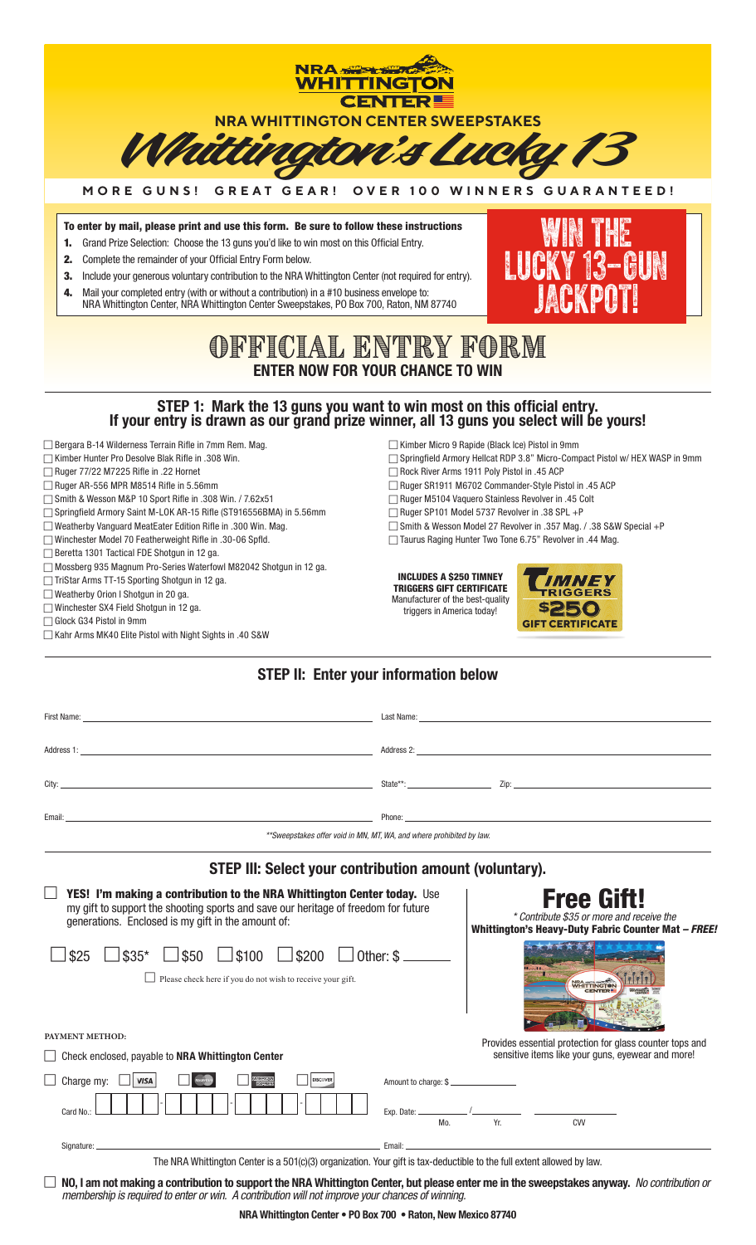

| Address 1: Address 2: Address 2: Address 2: Address 2: Address 2: Address 2: Address 2: Address 2: Address 2: Address 2: Address 2: Address 2: Address 2: Address 2: Address 2: Address 2: Address 2: Address 2: Address 2: Ad                                                                                                                                                            |                             |                                                                                                                       |                                                                                                               |  |
|-------------------------------------------------------------------------------------------------------------------------------------------------------------------------------------------------------------------------------------------------------------------------------------------------------------------------------------------------------------------------------------------|-----------------------------|-----------------------------------------------------------------------------------------------------------------------|---------------------------------------------------------------------------------------------------------------|--|
|                                                                                                                                                                                                                                                                                                                                                                                           |                             |                                                                                                                       |                                                                                                               |  |
|                                                                                                                                                                                                                                                                                                                                                                                           |                             |                                                                                                                       |                                                                                                               |  |
| **Sweepstakes offer void in MN, MT, WA, and where prohibited by law.<br>STEP III: Select your contribution amount (voluntary).                                                                                                                                                                                                                                                            |                             |                                                                                                                       |                                                                                                               |  |
| <b>YES! I'm making a contribution to the NRA Whittington Center today.</b> Use<br>my gift to support the shooting sports and save our heritage of freedom for future<br>generations. Enclosed is my gift in the amount of:                                                                                                                                                                |                             | <b>Free Gitt!</b><br>* Contribute \$35 or more and receive the<br>Whittington's Heavy-Duty Fabric Counter Mat - FREE! |                                                                                                               |  |
| $\frac{1}{250}$ $\frac{1}{200}$ $\frac{1}{200}$ $\frac{1}{200}$ $\frac{1}{200}$ $\frac{1}{200}$ $\frac{1}{200}$ $\frac{1}{200}$ $\frac{1}{200}$ $\frac{1}{200}$ $\frac{1}{200}$ $\frac{1}{200}$ $\frac{1}{200}$ $\frac{1}{200}$ $\frac{1}{200}$ $\frac{1}{200}$ $\frac{1}{200}$ $\frac{1}{200}$ $\frac{1$<br>$$35*$<br>\$25<br>Please check here if you do not wish to receive your gift. |                             |                                                                                                                       | <b>NRA</b> TTINGTON                                                                                           |  |
| PAYMENT METHOD:<br>Check enclosed, payable to NRA Whittington Center                                                                                                                                                                                                                                                                                                                      |                             |                                                                                                                       | Provides essential protection for glass counter tops and<br>sensitive items like your guns, eyewear and more! |  |
| <b>MERICAN</b><br>ECHRESE<br><b>VISA</b><br>DISCOVER<br>Charge my: $\Box$<br>Card No.:                                                                                                                                                                                                                                                                                                    | Amount to charge: \$<br>Mo. | Yr.                                                                                                                   | CVV                                                                                                           |  |
|                                                                                                                                                                                                                                                                                                                                                                                           |                             |                                                                                                                       |                                                                                                               |  |
| The NRA Whittington Center is a 501(c)(3) organization. Your gift is tax-deductible to the full extent allowed by law.<br>NO, I am not making a contribution to support the NRA Whittington Center, but please enter me in the sweepstakes anyway. No contribution or                                                                                                                     |                             |                                                                                                                       |                                                                                                               |  |

*membership is required to enter or win. A contribution will not improve your chances of winning.*